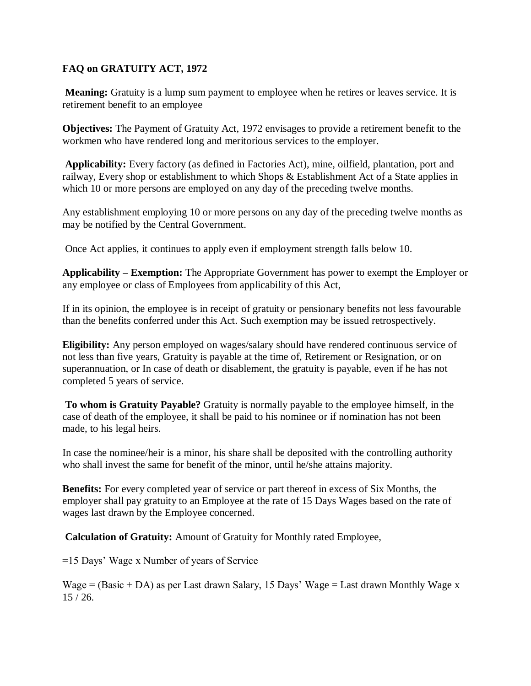## **FAQ on GRATUITY ACT, 1972**

**Meaning:** Gratuity is a lump sum payment to employee when he retires or leaves service. It is retirement benefit to an employee

**Objectives:** The Payment of Gratuity Act, 1972 envisages to provide a retirement benefit to the workmen who have rendered long and meritorious services to the employer.

**Applicability:** Every factory (as defined in Factories Act), mine, oilfield, plantation, port and railway, Every shop or establishment to which Shops & Establishment Act of a State applies in which 10 or more persons are employed on any day of the preceding twelve months.

Any establishment employing 10 or more persons on any day of the preceding twelve months as may be notified by the Central Government.

Once Act applies, it continues to apply even if employment strength falls below 10.

**Applicability – Exemption:** The Appropriate Government has power to exempt the Employer or any employee or class of Employees from applicability of this Act,

If in its opinion, the employee is in receipt of gratuity or pensionary benefits not less favourable than the benefits conferred under this Act. Such exemption may be issued retrospectively.

**Eligibility:** Any person employed on wages/salary should have rendered continuous service of not less than five years, Gratuity is payable at the time of, Retirement or Resignation, or on superannuation, or In case of death or disablement, the gratuity is payable, even if he has not completed 5 years of service.

**To whom is Gratuity Payable?** Gratuity is normally payable to the employee himself, in the case of death of the employee, it shall be paid to his nominee or if nomination has not been made, to his legal heirs.

In case the nominee/heir is a minor, his share shall be deposited with the controlling authority who shall invest the same for benefit of the minor, until he/she attains majority.

**Benefits:** For every completed year of service or part thereof in excess of Six Months, the employer shall pay gratuity to an Employee at the rate of 15 Days Wages based on the rate of wages last drawn by the Employee concerned.

**Calculation of Gratuity:** Amount of Gratuity for Monthly rated Employee,

=15 Days' Wage x Number of years of Service

Wage =  $(Basic + DA)$  as per Last drawn Salary, 15 Days' Wage = Last drawn Monthly Wage x  $15/26$ .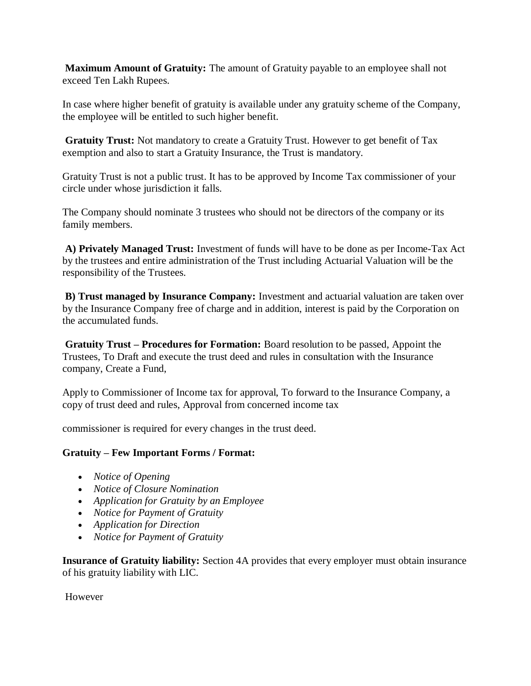**Maximum Amount of Gratuity:** The amount of Gratuity payable to an employee shall not exceed Ten Lakh Rupees.

In case where higher benefit of gratuity is available under any gratuity scheme of the Company, the employee will be entitled to such higher benefit.

**Gratuity Trust:** Not mandatory to create a Gratuity Trust. However to get benefit of Tax exemption and also to start a Gratuity Insurance, the Trust is mandatory.

Gratuity Trust is not a public trust. It has to be approved by Income Tax commissioner of your circle under whose jurisdiction it falls.

The Company should nominate 3 trustees who should not be directors of the company or its family members.

**A) Privately Managed Trust:** Investment of funds will have to be done as per Income-Tax Act by the trustees and entire administration of the Trust including Actuarial Valuation will be the responsibility of the Trustees.

**B) Trust managed by Insurance Company:** Investment and actuarial valuation are taken over by the Insurance Company free of charge and in addition, interest is paid by the Corporation on the accumulated funds.

**Gratuity Trust – Procedures for Formation:** Board resolution to be passed, Appoint the Trustees, To Draft and execute the trust deed and rules in consultation with the Insurance company, Create a Fund,

Apply to Commissioner of Income tax for approval, To forward to the Insurance Company, a copy of trust deed and rules, Approval from concerned income tax

commissioner is required for every changes in the trust deed.

## **Gratuity – Few Important Forms / Format:**

- *Notice of Opening*
- *Notice of Closure Nomination*
- *Application for Gratuity by an Employee*
- *Notice for Payment of Gratuity*
- *Application for Direction*
- *Notice for Payment of Gratuity*

**Insurance of Gratuity liability:** Section 4A provides that every employer must obtain insurance of his gratuity liability with LIC.

However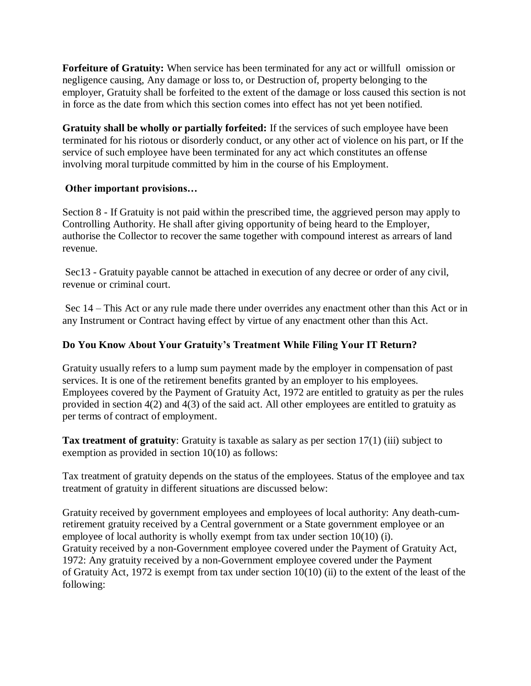**Forfeiture of Gratuity:** When service has been terminated for any act or willfull omission or negligence causing, Any damage or loss to, or Destruction of, property belonging to the employer, Gratuity shall be forfeited to the extent of the damage or loss caused this section is not in force as the date from which this section comes into effect has not yet been notified.

**Gratuity shall be wholly or partially forfeited:** If the services of such employee have been terminated for his riotous or disorderly conduct, or any other act of violence on his part, or If the service of such employee have been terminated for any act which constitutes an offense involving moral turpitude committed by him in the course of his Employment.

## **Other important provisions…**

Section 8 - If Gratuity is not paid within the prescribed time, the aggrieved person may apply to Controlling Authority. He shall after giving opportunity of being heard to the Employer, authorise the Collector to recover the same together with compound interest as arrears of land revenue.

Sec13 - Gratuity payable cannot be attached in execution of any decree or order of any civil, revenue or criminal court.

Sec 14 – This Act or any rule made there under overrides any enactment other than this Act or in any Instrument or Contract having effect by virtue of any enactment other than this Act.

## **Do You Know About Your Gratuity's Treatment While Filing Your IT Return?**

Gratuity usually refers to a lump sum payment made by the employer in compensation of past services. It is one of the retirement benefits granted by an employer to his employees. Employees covered by the Payment of Gratuity Act, 1972 are entitled to gratuity as per the rules provided in section 4(2) and 4(3) of the said act. All other employees are entitled to gratuity as per terms of contract of employment.

**Tax treatment of gratuity**: Gratuity is taxable as salary as per section 17(1) (iii) subject to exemption as provided in section 10(10) as follows:

Tax treatment of gratuity depends on the status of the employees. Status of the employee and tax treatment of gratuity in different situations are discussed below:

Gratuity received by government employees and employees of local authority: Any death-cumretirement gratuity received by a Central government or a State government employee or an employee of local authority is wholly exempt from tax under section 10(10) (i). Gratuity received by a non-Government employee covered under the Payment of Gratuity Act, 1972: Any gratuity received by a non-Government employee covered under the Payment of Gratuity Act, 1972 is exempt from tax under section 10(10) (ii) to the extent of the least of the following: